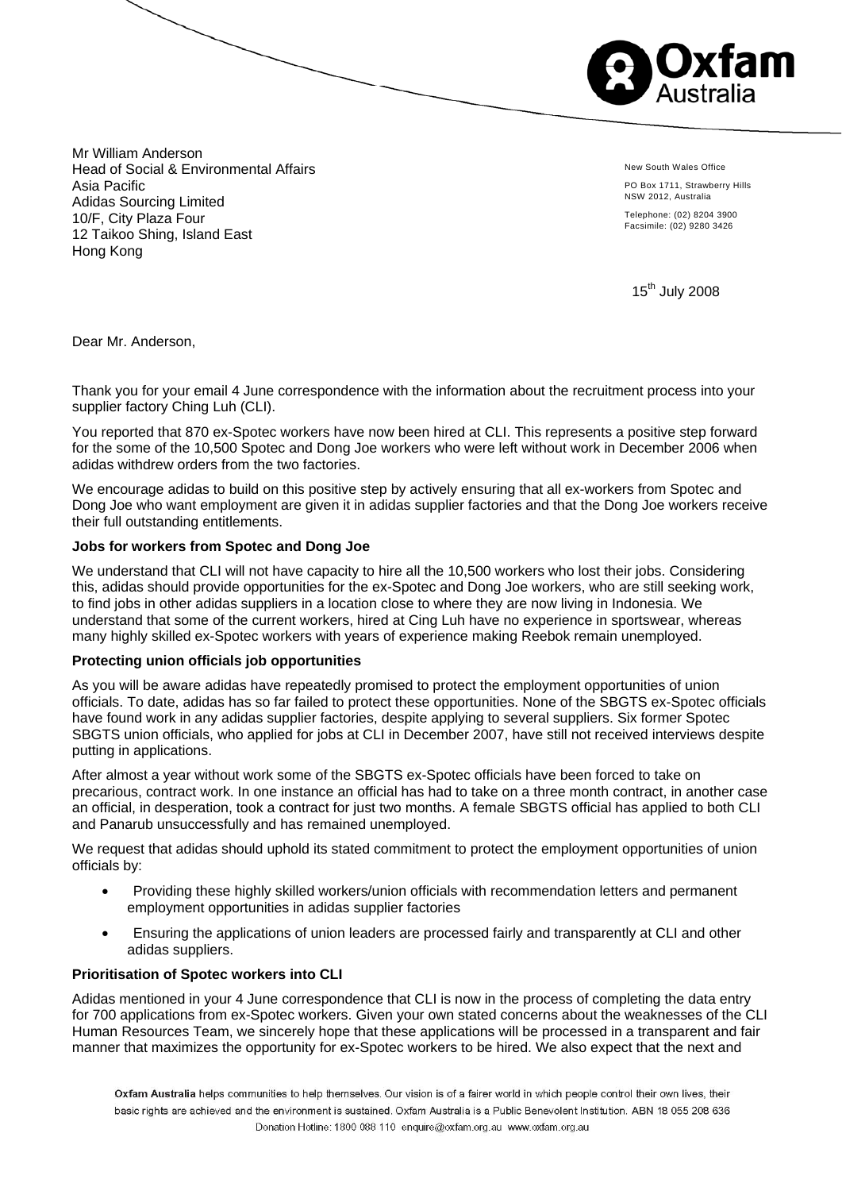

Mr William Anderson Head of Social & Environmental Affairs Asia Pacific Adidas Sourcing Limited 10/F, City Plaza Four 12 Taikoo Shing, Island East Hong Kong

New South Wales Office

PO Box 1711, Strawberry Hills NSW 2012, Australia

Telephone: (02) 8204 3900 Facsimile: (02) 9280 3426

15<sup>th</sup> July 2008

Dear Mr. Anderson,

Thank you for your email 4 June correspondence with the information about the recruitment process into your supplier factory Ching Luh (CLI).

You reported that 870 ex-Spotec workers have now been hired at CLI. This represents a positive step forward for the some of the 10,500 Spotec and Dong Joe workers who were left without work in December 2006 when adidas withdrew orders from the two factories.

We encourage adidas to build on this positive step by actively ensuring that all ex-workers from Spotec and Dong Joe who want employment are given it in adidas supplier factories and that the Dong Joe workers receive their full outstanding entitlements.

### **Jobs for workers from Spotec and Dong Joe**

We understand that CLI will not have capacity to hire all the 10,500 workers who lost their jobs. Considering this, adidas should provide opportunities for the ex-Spotec and Dong Joe workers, who are still seeking work, to find jobs in other adidas suppliers in a location close to where they are now living in Indonesia. We understand that some of the current workers, hired at Cing Luh have no experience in sportswear, whereas many highly skilled ex-Spotec workers with years of experience making Reebok remain unemployed.

#### **Protecting union officials job opportunities**

As you will be aware adidas have repeatedly promised to protect the employment opportunities of union officials. To date, adidas has so far failed to protect these opportunities. None of the SBGTS ex-Spotec officials have found work in any adidas supplier factories, despite applying to several suppliers. Six former Spotec SBGTS union officials, who applied for jobs at CLI in December 2007, have still not received interviews despite putting in applications.

After almost a year without work some of the SBGTS ex-Spotec officials have been forced to take on precarious, contract work. In one instance an official has had to take on a three month contract, in another case an official, in desperation, took a contract for just two months. A female SBGTS official has applied to both CLI and Panarub unsuccessfully and has remained unemployed.

We request that adidas should uphold its stated commitment to protect the employment opportunities of union officials by:

- Providing these highly skilled workers/union officials with recommendation letters and permanent employment opportunities in adidas supplier factories
- Ensuring the applications of union leaders are processed fairly and transparently at CLI and other adidas suppliers.

#### **Prioritisation of Spotec workers into CLI**

Adidas mentioned in your 4 June correspondence that CLI is now in the process of completing the data entry for 700 applications from ex-Spotec workers. Given your own stated concerns about the weaknesses of the CLI Human Resources Team, we sincerely hope that these applications will be processed in a transparent and fair manner that maximizes the opportunity for ex-Spotec workers to be hired. We also expect that the next and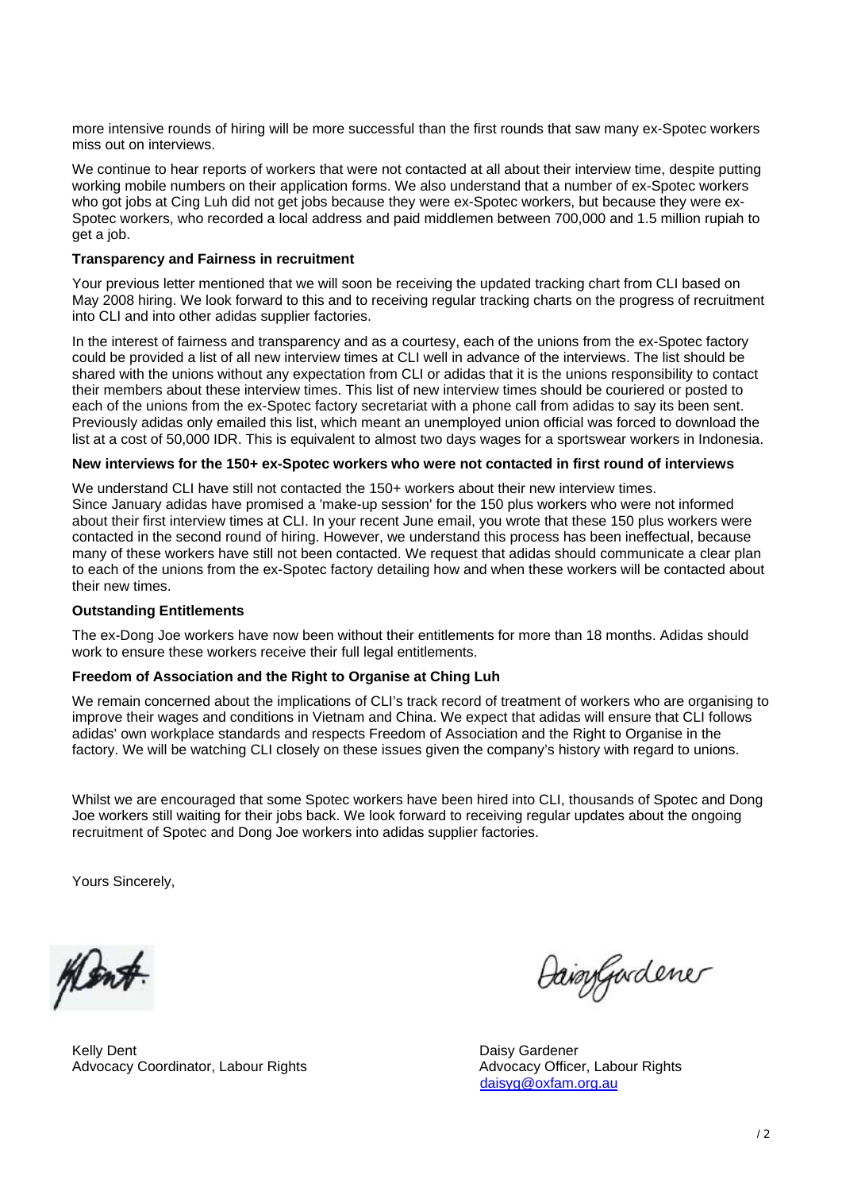more intensive rounds of hiring will be more successful than the first rounds that saw many ex-Spotec workers miss out on interviews.

We continue to hear reports of workers that were not contacted at all about their interview time, despite putting working mobile numbers on their application forms. We also understand that a number of ex-Spotec workers who got jobs at Cing Luh did not get jobs because they were ex-Spotec workers, but because they were ex-Spotec workers, who recorded a local address and paid middlemen between 700,000 and 1.5 million rupiah to get a job.

### **Transparency and Fairness in recruitment**

Your previous letter mentioned that we will soon be receiving the updated tracking chart from CLI based on May 2008 hiring. We look forward to this and to receiving regular tracking charts on the progress of recruitment into CLI and into other adidas supplier factories.

In the interest of fairness and transparency and as a courtesy, each of the unions from the ex-Spotec factory could be provided a list of all new interview times at CLI well in advance of the interviews. The list should be shared with the unions without any expectation from CLI or adidas that it is the unions responsibility to contact their members about these interview times. This list of new interview times should be couriered or posted to each of the unions from the ex-Spotec factory secretariat with a phone call from adidas to say its been sent. Previously adidas only emailed this list, which meant an unemployed union official was forced to download the list at a cost of 50,000 IDR. This is equivalent to almost two days wages for a sportswear workers in Indonesia.

### **New interviews for the 150+ ex-Spotec workers who were not contacted in first round of interviews**

We understand CLI have still not contacted the 150+ workers about their new interview times. Since January adidas have promised a 'make-up session' for the 150 plus workers who were not informed about their first interview times at CLI. In your recent June email, you wrote that these 150 plus workers were contacted in the second round of hiring. However, we understand this process has been ineffectual, because many of these workers have still not been contacted. We request that adidas should communicate a clear plan to each of the unions from the ex-Spotec factory detailing how and when these workers will be contacted about their new times.

## **Outstanding Entitlements**

The ex-Dong Joe workers have now been without their entitlements for more than 18 months. Adidas should work to ensure these workers receive their full legal entitlements.

## **Freedom of Association and the Right to Organise at Ching Luh**

We remain concerned about the implications of CLI's track record of treatment of workers who are organising to improve their wages and conditions in Vietnam and China. We expect that adidas will ensure that CLI follows adidas' own workplace standards and respects Freedom of Association and the Right to Organise in the factory. We will be watching CLI closely on these issues given the company's history with regard to unions.

Whilst we are encouraged that some Spotec workers have been hired into CLI, thousands of Spotec and Dong Joe workers still waiting for their jobs back. We look forward to receiving regular updates about the ongoing recruitment of Spotec and Dong Joe workers into adidas supplier factories.

Yours Sincerely,

Men#

Kelly Dent **Daisy Gardener** Communication Communication Communication Communication Communication Communication Communication Communication Communication Communication Communication Communication Communication Communicatio Advocacy Coordinator, Labour Rights Advocacy Officer, Labour Rights Advocacy Officer, Labour Rights

Daigygardener

daisyg@oxfam.org.au